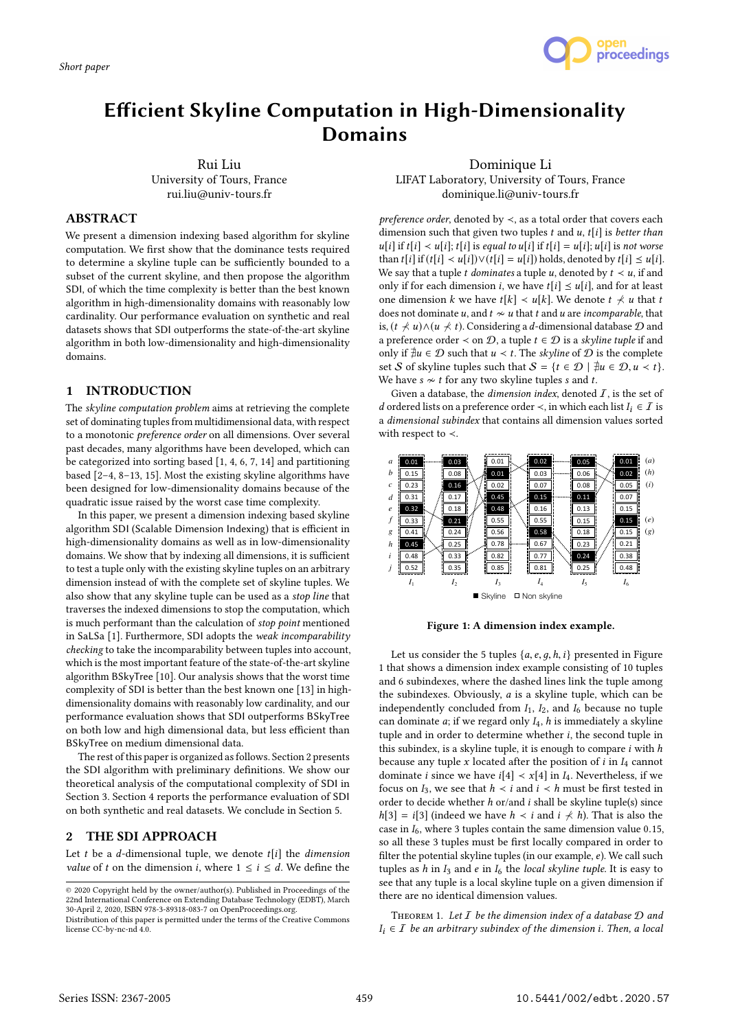

# Efficient Skyline Computation in High-Dimensionality Domains

Rui Liu University of Tours, France rui.liu@univ-tours.fr

Dominique Li LIFAT Laboratory, University of Tours, France dominique.li@univ-tours.fr

## ABSTRACT

We present a dimension indexing based algorithm for skyline computation. We first show that the dominance tests required to determine a skyline tuple can be sufficiently bounded to a subset of the current skyline, and then propose the algorithm SDI, of which the time complexity is better than the best known algorithm in high-dimensionality domains with reasonably low cardinality. Our performance evaluation on synthetic and real datasets shows that SDI outperforms the state-of-the-art skyline algorithm in both low-dimensionality and high-dimensionality domains.

## 1 INTRODUCTION

The skyline computation problem aims at retrieving the complete set of dominating tuples from multidimensional data, with respect to a monotonic preference order on all dimensions. Over several past decades, many algorithms have been developed, which can be categorized into sorting based [1, 4, 6, 7, 14] and partitioning based [2–4, 8–13, 15]. Most the existing skyline algorithms have been designed for low-dimensionality domains because of the quadratic issue raised by the worst case time complexity.

In this paper, we present a dimension indexing based skyline algorithm SDI (Scalable Dimension Indexing) that is efficient in high-dimensionality domains as well as in low-dimensionality domains. We show that by indexing all dimensions, it is sufficient to test a tuple only with the existing skyline tuples on an arbitrary dimension instead of with the complete set of skyline tuples. We also show that any skyline tuple can be used as a stop line that traverses the indexed dimensions to stop the computation, which is much performant than the calculation of stop point mentioned in SaLSa [1]. Furthermore, SDI adopts the weak incomparability checking to take the incomparability between tuples into account, which is the most important feature of the state-of-the-art skyline algorithm BSkyTree [10]. Our analysis shows that the worst time complexity of SDI is better than the best known one [13] in highdimensionality domains with reasonably low cardinality, and our performance evaluation shows that SDI outperforms BSkyTree on both low and high dimensional data, but less efficient than BSkyTree on medium dimensional data.

The rest of this paper is organized as follows. Section 2 presents the SDI algorithm with preliminary definitions. We show our theoretical analysis of the computational complexity of SDI in Section 3. Section 4 reports the performance evaluation of SDI on both synthetic and real datasets. We conclude in Section 5.

## 2 THE SDI APPROACH

Let t be a d-dimensional tuple, we denote  $t[i]$  the *dimension value* of t on the dimension i, where  $1 \le i \le d$ . We define the

preference order, denoted by ≺, as a total order that covers each dimension such that given two tuples  $t$  and  $u$ ,  $t[i]$  is better than  $u[i]$  if  $t[i] < u[i]$ ;  $t[i]$  is equal to  $u[i]$  if  $t[i] = u[i]$ ;  $u[i]$  is not worse than  $t[i]$  if  $(t[i] < u[i]) \vee (t[i] = u[i])$  holds, denoted by  $t[i] \le u[i]$ . We say that a tuple t dominates a tuple u, denoted by  $t \prec u$ , if and only if for each dimension *i*, we have  $t[i] \leq u[i]$ , and for at least one dimension k we have  $t[k] < u[k]$ . We denote  $t \nless u$  that t does not dominate u, and  $t \sim u$  that t and u are incomparable, that is,  $(t \nless u) \wedge (u \nless t)$ . Considering a d-dimensional database  $D$  and a preference order  $\leq$  on  $\mathcal{D}$ , a tuple  $t \in \mathcal{D}$  is a skyline tuple if and only if  $\exists u \in D$  such that  $u \prec t$ . The *skyline* of  $D$  is the complete set S of skyline tuples such that  $S = \{t \in \mathcal{D} \mid \nexists u \in \mathcal{D}, u \lt t\}.$ We have  $s \nsim t$  for any two skyline tuples s and t.

Given a database, the *dimension index*, denoted  $I$ , is the set of *d* ordered lists on a preference order  $\prec$ , in which each list *I<sub>i</sub>* ∈ *I* is a dimensional subindex that contains all dimension values sorted with respect to ≺.



Figure 1: A dimension index example.

Let us consider the 5 tuples  $\{a, e, g, h, i\}$  presented in Figure 1 that shows a dimension index example consisting of 10 tuples and 6 subindexes, where the dashed lines link the tuple among the subindexes. Obviously, a is a skyline tuple, which can be independently concluded from  $I_1$ ,  $I_2$ , and  $I_6$  because no tuple can dominate  $a$ ; if we regard only  $I_4$ ,  $h$  is immediately a skyline tuple and in order to determine whether i, the second tuple in this subindex, is a skyline tuple, it is enough to compare  $i$  with  $h$ because any tuple x located after the position of  $i$  in  $I_4$  cannot dominate *i* since we have  $i[4] < x[4]$  in  $I_4$ . Nevertheless, if we focus on  $I_3$ , we see that  $h \prec i$  and  $i \prec h$  must be first tested in order to decide whether h or/and i shall be skyline tuple(s) since  $h[3] = i[3]$  (indeed we have  $h \prec i$  and  $i \not\prec h$ ). That is also the case in  $I_6$ , where 3 tuples contain the same dimension value 0.15, so all these 3 tuples must be first locally compared in order to filter the potential skyline tuples (in our example, e). We call such tuples as h in  $I_3$  and e in  $I_6$  the local skyline tuple. It is easy to see that any tuple is a local skyline tuple on a given dimension if there are no identical dimension values.

THEOREM 1. Let  $I$  be the dimension index of a database  $D$  and  $I_i \in \mathcal{I}$  be an arbitrary subindex of the dimension i. Then, a local

<sup>©</sup> 2020 Copyright held by the owner/author(s). Published in Proceedings of the 22nd International Conference on Extending Database Technology (EDBT), March 30-April 2, 2020, ISBN 978-3-89318-083-7 on OpenProceedings.org.

Distribution of this paper is permitted under the terms of the Creative Commons license CC-by-nc-nd 4.0.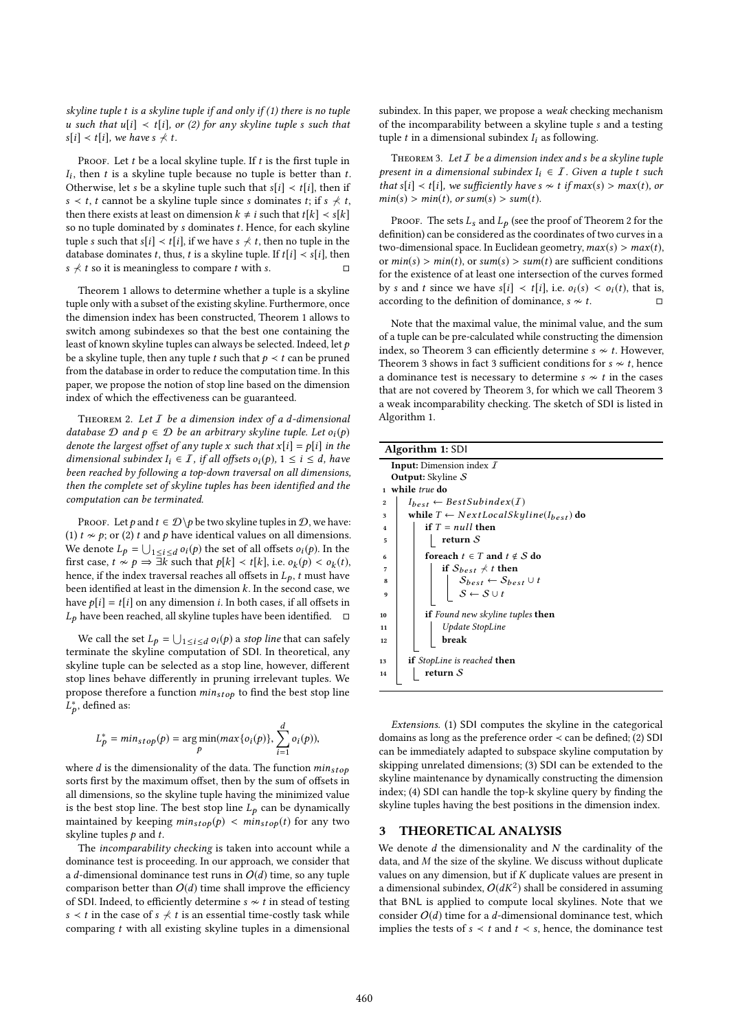skyline tuple t is a skyline tuple if and only if (1) there is no tuple u such that  $u[i] \prec t[i]$ , or (2) for any skyline tuple s such that  $s[i] \prec t[i]$ , we have  $s \not\prec t$ .

PROOF. Let  $t$  be a local skyline tuple. If  $t$  is the first tuple in Otherwise, let s be a skyline tuple such that s[i]  $\lt t$  [i], then if  $I_i$ , then t is a skyline tuple because no tuple is better than t. s  $lt$  t, t cannot be a skyline tuple since s dominates t; if s  $\not\preceq t$ , then there exists at least on dimension  $k \neq i$  such that  $t[k] < s[k]$ so no tuple dominated by s dominates t. Hence, for each skyline tuple s such that s[i]  $\lt t[i]$ , if we have s  $\not\preceq t$ , then no tuple in the database dominates t, thus, t is a skyline tuple. If  $t[i] \lt s[i]$ , then s  $\not\prec t$  so it is meaningless to compare t with s.

Theorem 1 allows to determine whether a tuple is a skyline tuple only with a subset of the existing skyline. Furthermore, once the dimension index has been constructed, Theorem 1 allows to switch among subindexes so that the best one containing the least of known skyline tuples can always be selected. Indeed, let p be a skyline tuple, then any tuple t such that  $p \lt t$  can be pruned from the database in order to reduce the computation time. In this paper, we propose the notion of stop line based on the dimension index of which the effectiveness can be guaranteed.

THEOREM 2. Let  $I$  be a dimension index of a d-dimensional database  $D$  and  $p \in D$  be an arbitrary skyline tuple. Let  $o_i(p)$ denote the largest offset of any tuple x such that  $x[i] = p[i]$  in the dimensional subindex  $I_i \in \mathcal{I}$ , if all offsets  $o_i(p)$ ,  $1 \leq i \leq d$ , have been reached by following a top-down traversal on all dimensions, then the complete set of skyline tuples has been identified and the computation can be terminated.

PROOF. Let p and  $t \in \mathcal{D} \backslash p$  be two skyline tuples in  $\mathcal{D}$ , we have: (1)  $t \nsim p$ ; or (2) t and p have identical values on all dimensions. We denote  $L_p = \bigcup_{1 \le i \le d} o_i(p)$  the set of all offsets  $o_i(p)$ . In the first case  $t \propto p \rightarrow \exists k$  such that  $p[k] \neq t[k]$  i.e.  $o_i(p) \leq o_i(t)$ . first case,  $t \nsim p \Rightarrow \exists k$  such that  $p[k] < t[k]$ , i.e.  $o_k(p) < o_k(t)$ ,<br>hence if the index traversal reaches all offsets in  $I_t$ , t must have hence, if the index traversal reaches all offsets in  $L_p$ , t must have been identified at least in the dimension  $k$ . In the second case, we have  $p[i] = t[i]$  on any dimension *i*. In both cases, if all offsets in  $L_p$  have been reached, all skyline tuples have been identified.  $\square$ 

We call the set  $L_p = \bigcup_{1 \leq i \leq d} o_i(p)$  a stop line that can safely minate the skyline computation of SDL. In theoretical any terminate the skyline computation of SDI. In theoretical, any skyline tuple can be selected as a stop line, however, different stop lines behave differently in pruning irrelevant tuples. We propose therefore a function  $min_{stop}$  to find the best stop line ∗ , defined as:

$$
L_p^* = min_{stop}(p) = \underset{p}{\arg\min}(max\{o_i(p)\}, \sum_{i=1}^d o_i(p)),
$$

p

where  $d$  is the dimensionality of the data. The function  $min_{stop}$ <br>sorts first by the maximum offeet, then by the sum of offeets in sorts first by the maximum offset, then by the sum of offsets in all dimensions, so the skyline tuple having the minimized value is the best stop line. The best stop line  $L_p$  can be dynamically maintained by keeping  $min_{stop}(p) < min_{stop}(t)$  for any two skyline tuples  $p$  and  $t$ .

The incomparability checking is taken into account while a dominance test is proceeding. In our approach, we consider that a d-dimensional dominance test runs in  $O(d)$  time, so any tuple comparison better than  $O(d)$  time shall improve the efficiency of SDI. Indeed, to efficiently determine  $s \nsim t$  in stead of testing s  $lt$  t in the case of s  $\not$  t is an essential time-costly task while comparing t with all existing skyline tuples in a dimensional

subindex. In this paper, we propose a weak checking mechanism of the incomparability between a skyline tuple s and a testing tuple  $t$  in a dimensional subindex  $I_i$  as following.

THEOREM 3. Let  $I$  be a dimension index and s be a skyline tuple present in a dimensional subindex  $I_i \in I$ . Given a tuple t such that s[i]  $\lt t[i]$ , we sufficiently have s  $\approx t$  if max(s) > max(t), or  $min(s) > min(t)$ , or sum(s)  $> sum(t)$ .

PROOF. The sets  $L_s$  and  $L_p$  (see the proof of Theorem 2 for the definition) can be considered as the coordinates of two curves in a two-dimensional space. In Euclidean geometry,  $max(s) > max(t)$ , or  $min(s) > min(t)$ , or  $sum(s) > sum(t)$  are sufficient conditions for the existence of at least one intersection of the curves formed by s and t since we have s[i]  $\lt t[i]$ , i.e.  $o_i(s) \lt o_i(t)$ , that is, according to the definition of dominance  $s \approx t$ according to the definition of dominance,  $s \nsim t$ .

Note that the maximal value, the minimal value, and the sum of a tuple can be pre-calculated while constructing the dimension index, so Theorem 3 can efficiently determine  $s \nsim t$ . However, Theorem 3 shows in fact 3 sufficient conditions for  $s \nsim t$ , hence a dominance test is necessary to determine  $s \nsim t$  in the cases that are not covered by Theorem 3, for which we call Theorem 3 a weak incomparability checking. The sketch of SDI is listed in Algorithm 1.

|                | <b>Algorithm 1: SDI</b>                                                                                                               |  |  |  |  |  |
|----------------|---------------------------------------------------------------------------------------------------------------------------------------|--|--|--|--|--|
|                | <b>Input:</b> Dimension index $I$                                                                                                     |  |  |  |  |  |
|                | <b>Output:</b> Skyline $S$                                                                                                            |  |  |  |  |  |
| $\mathbf{1}$   | while true do                                                                                                                         |  |  |  |  |  |
| $\overline{2}$ | $I_{best} \leftarrow BestSubindex(I)$                                                                                                 |  |  |  |  |  |
| 3              | while $T \leftarrow NextLocalSkyline(I_{best})$ do                                                                                    |  |  |  |  |  |
| 4              | if $T = null$ then                                                                                                                    |  |  |  |  |  |
| 5              | return $\mathcal S$                                                                                                                   |  |  |  |  |  |
| 6              | for each $t \in T$ and $t \notin S$ do                                                                                                |  |  |  |  |  |
| 7              | if $S_{best} \nless t$ then                                                                                                           |  |  |  |  |  |
| 8              | $\begin{array}{c}\n\mathcal{S}_{best} \leftarrow \mathcal{S}_{best} \cup t \\ \mathcal{S} \leftarrow \mathcal{S} \cup t\n\end{array}$ |  |  |  |  |  |
| 9              |                                                                                                                                       |  |  |  |  |  |
| 10             | <b>if</b> Found new skyline tuples <b>then</b>                                                                                        |  |  |  |  |  |
| 11             | Update StopLine                                                                                                                       |  |  |  |  |  |
| 12             | break                                                                                                                                 |  |  |  |  |  |
|                |                                                                                                                                       |  |  |  |  |  |
| 13             | <b>if</b> StopLine is reached <b>then</b>                                                                                             |  |  |  |  |  |
| 14             | return $S$                                                                                                                            |  |  |  |  |  |
|                |                                                                                                                                       |  |  |  |  |  |

Extensions. (1) SDI computes the skyline in the categorical domains as long as the preference order  $\prec$  can be defined; (2) SDI can be immediately adapted to subspace skyline computation by skipping unrelated dimensions; (3) SDI can be extended to the skyline maintenance by dynamically constructing the dimension index; (4) SDI can handle the top-k skyline query by finding the skyline tuples having the best positions in the dimension index.

#### 3 THEORETICAL ANALYSIS

We denote  $d$  the dimensionality and  $N$  the cardinality of the data, and M the size of the skyline. We discuss without duplicate values on any dimension, but if  $K$  duplicate values are present in a dimensional subindex,  $O(dK^2)$  shall be considered in assuming<br>that BNL is applied to compute local skylings. Note that we that BNL is applied to compute local skylines. Note that we consider  $O(d)$  time for a d-dimensional dominance test, which implies the tests of  $s < t$  and  $t < s$ , hence, the dominance test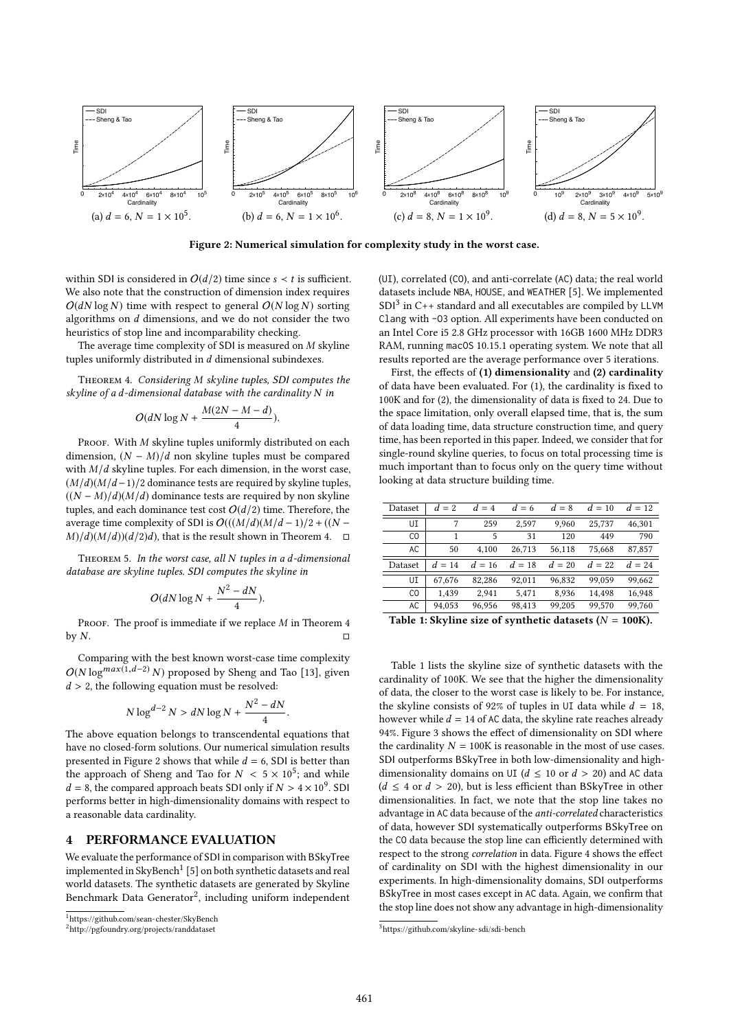

Figure 2: Numerical simulation for complexity study in the worst case.

within SDI is considered in  $O(d/2)$  time since  $s < t$  is sufficient. We also note that the construction of dimension index requires  $O(dN \log N)$  time with respect to general  $O(N \log N)$  sorting algorithms on d dimensions, and we do not consider the two heuristics of stop line and incomparability checking.

The average time complexity of SDI is measured on M skyline tuples uniformly distributed in d dimensional subindexes.

Theorem 4. Considering M skyline tuples, SDI computes the skyline of a d-dimensional database with the cardinality N in

$$
O(dN\log N+\frac{M(2N-M-d)}{4}).
$$

PROOF. With  $M$  skyline tuples uniformly distributed on each dimension,  $(N - M)/d$  non skyline tuples must be compared with  $M/d$  skyline tuples. For each dimension, in the worst case,  $(M/d)(M/d-1)/2$  dominance tests are required by skyline tuples,  $((N - M)/d)(M/d)$  dominance tests are required by non skyline tuples, and each dominance test cost  $O(d/2)$  time. Therefore, the average time complexity of SDI is  $O(((M/d)(M/d-1)/2 + ((N –$  $M/(d)(M/d)(d/2)d$ , that is the result shown in Theorem 4.  $\square$ 

Theorem 5. In the worst case, all N tuples in a d-dimensional database are skyline tuples. SDI computes the skyline in

$$
O(dN\log N + \frac{N^2 - dN}{4}).
$$

PROOF. The proof is immediate if we replace *M* in Theorem 4 by *N*. by  $N$ .

Comparing with the best known worst-case time complexity  $O(N \log^{max(1, d-2)} N)$  proposed by Sheng and Tao [13], given  $d > 2$ , the following equation must be resolved:

$$
N\log^{d-2} N > dN\log N + \frac{N^2 - dN}{4}.
$$

The above equation belongs to transcendental equations that have no closed-form solutions. Our numerical simulation results presented in Figure 2 shows that while  $d = 6$ , SDI is better than the approach of Sheng and Tao for  $N < 5 \times 10^5$ ; and while  $d = 8$ , the compared approach beats SDI only if  $N > 4 \times 10^9$ . SDI  $d = 8$ , the compared approach beats SDI only if  $N > 4 \times 10^9$ . SDI<br>performs better in high-dimensionality domains with respect to performs better in high-dimensionality domains with respect to a reasonable data cardinality.

#### 4 PERFORMANCE EVALUATION

We evaluate the performance of SDI in comparison with BSkyTree implemented in SkyBench<sup>1</sup> [5] on both synthetic datasets and real world datasets. The synthetic datasets are generated by Skyline Benchmark Data Generator<sup>2</sup>, including uniform independent (UI), correlated (CO), and anti-correlate (AC) data; the real world datasets include NBA, HOUSE, and WEATHER [5]. We implemented SDI<sup>3</sup> in C++ standard and all executables are compiled by LLVM Clang with -O3 option. All experiments have been conducted on an Intel Core i5 2.8 GHz processor with 16GB 1600 MHz DDR3 RAM, running macOS 10.15.1 operating system. We note that all results reported are the average performance over 5 iterations.

First, the effects of (1) dimensionality and (2) cardinality of data have been evaluated. For (1), the cardinality is fixed to 100K and for (2), the dimensionality of data is fixed to 24. Due to the space limitation, only overall elapsed time, that is, the sum of data loading time, data structure construction time, and query time, has been reported in this paper. Indeed, we consider that for single-round skyline queries, to focus on total processing time is much important than to focus only on the query time without looking at data structure building time.

| Dataset                                                                          | $d=2$    | $d=4$    | $d = 6$ | $d=8$  | $d=10$ | $d = 12$ |
|----------------------------------------------------------------------------------|----------|----------|---------|--------|--------|----------|
| UI                                                                               | 7        | 259      | 2.597   | 9.960  | 25,737 | 46.301   |
| C <sub>0</sub>                                                                   | 1        | 5        | 31      | 120    | 449    | 790      |
| AC.                                                                              | 50       | 4.100    | 26,713  | 56,118 | 75,668 | 87,857   |
| Dataset                                                                          | $d = 14$ | $d = 16$ | $d=18$  | $d=20$ | $d=22$ | $d = 24$ |
| UI                                                                               | 67.676   | 82,286   | 92,011  | 96,832 | 99.059 | 99,662   |
| C <sub>0</sub>                                                                   | 1.439    | 2.941    | 5.471   | 8.936  | 14.498 | 16,948   |
| AC                                                                               | 94.053   | 96,956   | 98,413  | 99,205 | 99.570 | 99,760   |
| $T_2$ kla 1. $\Omega_{\rm rel}$ ina aina af armthatia datagata $\Delta I = 100V$ |          |          |         |        |        |          |

Table 1: Skyline size of synthetic datasets ( $N = 100K$ ).

Table 1 lists the skyline size of synthetic datasets with the cardinality of 100K. We see that the higher the dimensionality of data, the closer to the worst case is likely to be. For instance, the skyline consists of 92% of tuples in UI data while  $d = 18$ , however while  $d = 14$  of AC data, the skyline rate reaches already 94%. Figure 3 shows the effect of dimensionality on SDI where the cardinality  $N = 100K$  is reasonable in the most of use cases. SDI outperforms BSkyTree in both low-dimensionality and highdimensionality domains on UI ( $d \le 10$  or  $d > 20$ ) and AC data  $(d \leq 4 \text{ or } d > 20)$ , but is less efficient than BSkvTree in other dimensionalities. In fact, we note that the stop line takes no advantage in AC data because of the anti-correlated characteristics of data, however SDI systematically outperforms BSkyTree on the CO data because the stop line can efficiently determined with respect to the strong correlation in data. Figure 4 shows the effect of cardinality on SDI with the highest dimensionality in our experiments. In high-dimensionality domains, SDI outperforms BSkyTree in most cases except in AC data. Again, we confirm that the stop line does not show any advantage in high-dimensionality

<sup>1</sup>https://github.com/sean-chester/SkyBench

<sup>2</sup>http://pgfoundry.org/projects/randdataset

<sup>3</sup>https://github.com/skyline-sdi/sdi-bench